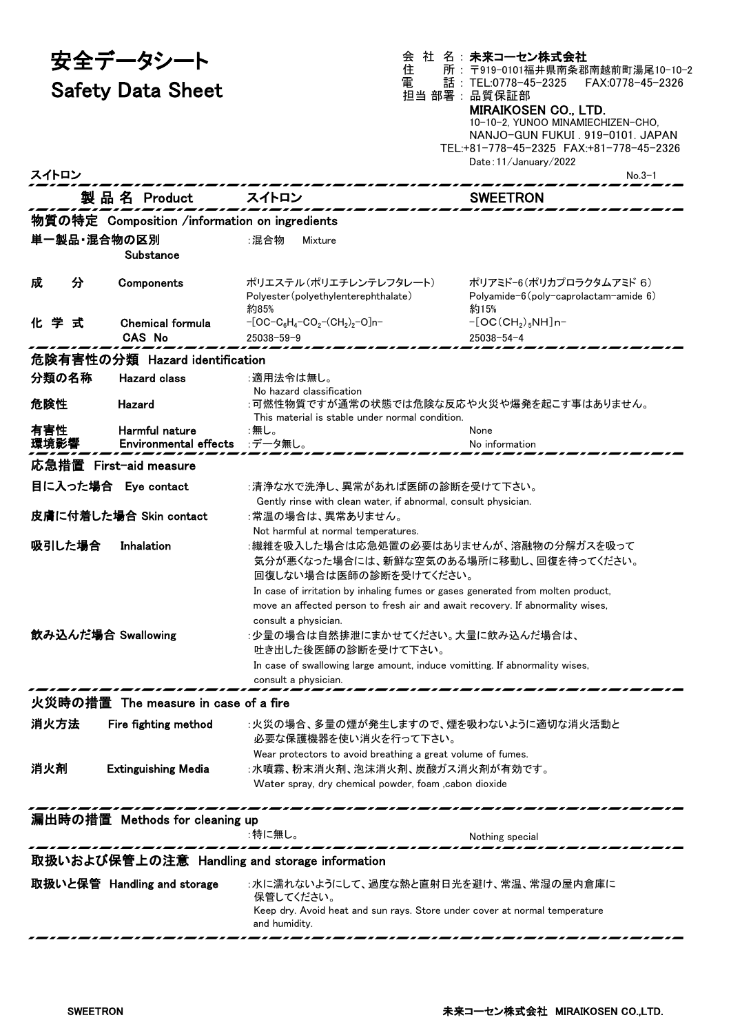| 安全データシート                 | 会 社 名: 未来コーセン株式会社<br>住<br>所: 〒919-0101福井県南条郡南越前町湯尾10−10−2        |
|--------------------------|------------------------------------------------------------------|
| <b>Safety Data Sheet</b> | 話: TEL:0778-45-2325 FAX:0778-45-2326<br>電<br>担当 部署:品質保証部         |
|                          | <b>MIRAIKOSEN CO., LTD.</b><br>10-10-2. YUNOO MINAMIECHIZEN-CHO. |
|                          |                                                                  |

|       |                          |                                               | 10-10-2. YUNOO MINAMIECHIZEN-CHO.<br>NANJO-GUN FUKUL 919-0101 JAPAN<br>TEL:+81-778-45-2325 FAX:+81-778-45-2326<br>Date: $11/$ January $/2022$ |  |
|-------|--------------------------|-----------------------------------------------|-----------------------------------------------------------------------------------------------------------------------------------------------|--|
| スイトロン |                          |                                               | $No.3-1$                                                                                                                                      |  |
|       | 製品名 Product              | スイトロン                                         | <b>SWEETRON</b>                                                                                                                               |  |
|       |                          | 物質の特定 Composition /information on ingredients |                                                                                                                                               |  |
|       | 単一製品・混合物の区別<br>Substance | :混合物<br>Mixture                               |                                                                                                                                               |  |
| 成     | Components               | ポリエステル(ポリエチレンテレフタレート)                         | ポリアミドー6(ポリカプロラクタムアミド6)                                                                                                                        |  |

| 単一製品・混合物の区別                                   |                                      | :混合物<br>Mixture                                                                 |                                              |  |
|-----------------------------------------------|--------------------------------------|---------------------------------------------------------------------------------|----------------------------------------------|--|
|                                               | Substance                            |                                                                                 |                                              |  |
|                                               |                                      |                                                                                 |                                              |  |
| 分<br>成                                        | Components                           | ポリエステル(ポリエチレンテレフタレート)                                                           | ポリアミド-6(ポリカプロラクタムアミド 6)                      |  |
|                                               |                                      | Polyester (polyethylenterephthalate)                                            | Polyamide- $6$ (poly-caprolactam-amide $6$ ) |  |
|                                               |                                      | 約85%                                                                            | 約15%                                         |  |
| 化学式                                           | Chemical formula                     | $-[OC-C_6H_4-CO_2-(CH_2)_2-O]n-$                                                | $-[OC(CH2)5NH]n-$                            |  |
|                                               | <b>CAS No</b>                        | $25038 - 59 - 9$                                                                | $25038 - 54 - 4$                             |  |
|                                               | 危険有害性の分類 Hazard identification       |                                                                                 |                                              |  |
| 分類の名称                                         | <b>Hazard class</b>                  |                                                                                 |                                              |  |
|                                               |                                      | :適用法令は無し。<br>No hazard classification                                           |                                              |  |
| 危険性                                           | Hazard                               | :可燃性物質ですが通常の状態では危険な反応や火災や爆発を起こす事はありません。                                         |                                              |  |
|                                               |                                      | This material is stable under normal condition.                                 |                                              |  |
| 有害性                                           | Harmful nature                       | :無し。                                                                            | None                                         |  |
| 環境影響                                          | Environmental effects :データ無し。        |                                                                                 | No information                               |  |
|                                               |                                      |                                                                                 |                                              |  |
|                                               | 応急措置 First-aid measure               |                                                                                 |                                              |  |
| 目に入った場合 Eye contact                           |                                      | :清浄な水で洗浄し、異常があれば医師の診断を受けて下さい。                                                   |                                              |  |
|                                               |                                      | Gently rinse with clean water, if abnormal, consult physician.                  |                                              |  |
|                                               | 皮膚に付着した場合 Skin contact               | :常温の場合は、異常ありません。                                                                |                                              |  |
|                                               |                                      | Not harmful at normal temperatures.                                             |                                              |  |
| 吸引した場合                                        | Inhalation                           | :繊維を吸入した場合は応急処置の必要はありませんが、溶融物の分解ガスを吸って                                          |                                              |  |
|                                               |                                      | 気分が悪くなった場合には、新鮮な空気のある場所に移動し、回復を待ってください。                                         |                                              |  |
|                                               |                                      | 回復しない場合は医師の診断を受けてください。                                                          |                                              |  |
|                                               |                                      |                                                                                 |                                              |  |
|                                               |                                      | In case of irritation by inhaling fumes or gases generated from molten product, |                                              |  |
|                                               |                                      | move an affected person to fresh air and await recovery. If abnormality wises,  |                                              |  |
|                                               |                                      | consult a physician.                                                            |                                              |  |
| 飲み込んだ場合 Swallowing                            |                                      | :少量の場合は自然排泄にまかせてください。大量に飲み込んだ場合は、                                               |                                              |  |
|                                               |                                      | 吐き出した後医師の診断を受けて下さい。                                                             |                                              |  |
|                                               |                                      | In case of swallowing large amount, induce vomitting. If abnormality wises,     |                                              |  |
|                                               |                                      | consult a physician.                                                            |                                              |  |
|                                               | 火災時の措置 The measure in case of a fire |                                                                                 |                                              |  |
|                                               |                                      |                                                                                 |                                              |  |
| 消火方法                                          | Fire fighting method                 | :火災の場合、多量の煙が発生しますので、煙を吸わないように適切な消火活動と                                           |                                              |  |
|                                               |                                      | 必要な保護機器を使い消火を行って下さい。                                                            |                                              |  |
|                                               |                                      | Wear protectors to avoid breathing a great volume of fumes.                     |                                              |  |
| 消火剤                                           | <b>Extinguishing Media</b>           | :水噴霧、粉末消火剤、泡沫消火剤、炭酸ガス消火剤が有効です。                                                  |                                              |  |
|                                               |                                      | Water spray, dry chemical powder, foam ,cabon dioxide                           |                                              |  |
|                                               |                                      |                                                                                 |                                              |  |
|                                               | 漏出時の措置 Methods for cleaning up       |                                                                                 |                                              |  |
|                                               |                                      | :特に無し。                                                                          | Nothing special                              |  |
|                                               |                                      |                                                                                 |                                              |  |
| 取扱いおよび保管上の注意 Handling and storage information |                                      |                                                                                 |                                              |  |
|                                               | 取扱いと保管 Handling and storage          | :水に濡れないようにして、過度な熱と直射日光を避け、常温、常湿の屋内倉庫に                                           |                                              |  |
|                                               |                                      | 保管してください。                                                                       |                                              |  |
|                                               |                                      | Keep dry. Avoid heat and sun rays. Store under cover at normal temperature      |                                              |  |
|                                               |                                      | and humidity.                                                                   |                                              |  |

, *,* ,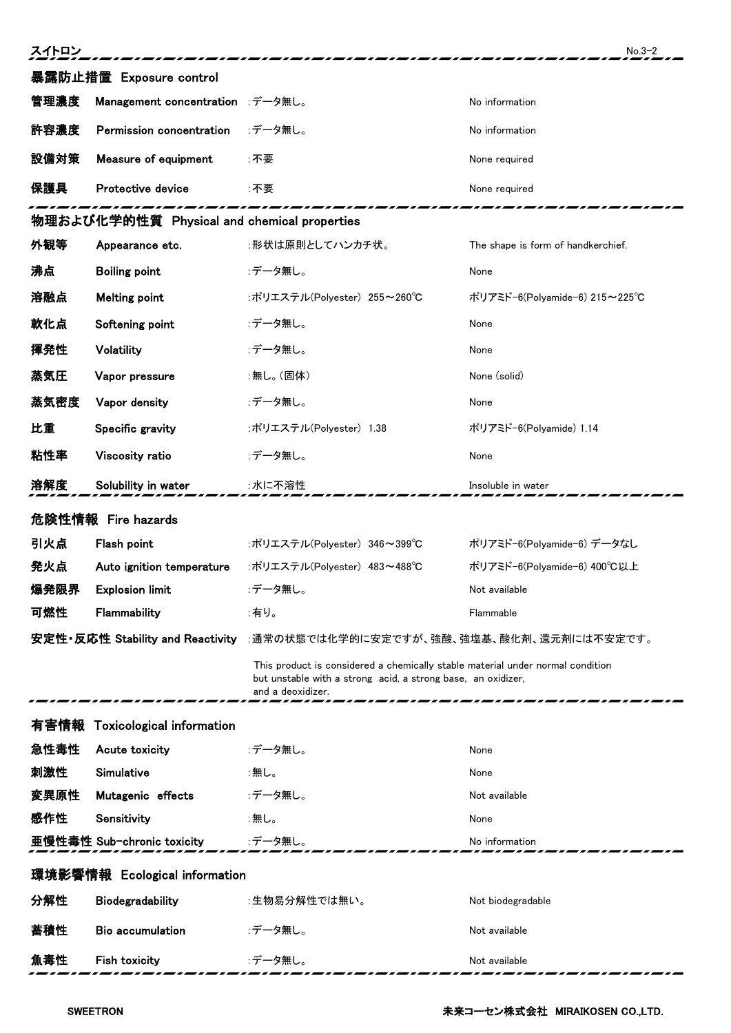| スイトロン<br>$No.3-2$             |                                             |                                                                                                                                                                     |                                    |
|-------------------------------|---------------------------------------------|---------------------------------------------------------------------------------------------------------------------------------------------------------------------|------------------------------------|
|                               | 暴露防止措置 Exposure control                     |                                                                                                                                                                     |                                    |
| 管理濃度                          | Management concentration :データ無し。            |                                                                                                                                                                     | No information                     |
| 許容濃度                          | Permission concentration                    | :データ無し。                                                                                                                                                             | No information                     |
| 設備対策                          | Measure of equipment                        | ∶不要                                                                                                                                                                 | None required                      |
| 保護具                           | Protective device                           | :不要                                                                                                                                                                 | None required                      |
|                               | 物理および化学的性質 Physical and chemical properties |                                                                                                                                                                     |                                    |
| 外観等                           | Appearance etc.                             | :形状は原則としてハンカチ状。                                                                                                                                                     | The shape is form of handkerchief. |
| 沸点                            | <b>Boiling point</b>                        | :データ無し。                                                                                                                                                             | None                               |
| 溶融点                           | <b>Melting point</b>                        | :ポリエステル(Polyester) 255~260℃                                                                                                                                         | ポリアミド-6(Polyamide-6) 215~225℃      |
| 軟化点                           | Softening point                             | :データ無し。                                                                                                                                                             | None                               |
| 揮発性                           | Volatility                                  | :データ無し。                                                                                                                                                             | None                               |
| 蒸気圧                           | Vapor pressure                              | :無し。(固体)                                                                                                                                                            | None (solid)                       |
| 蒸気密度                          | Vapor density                               | :データ無し。                                                                                                                                                             | None                               |
| 比重                            | Specific gravity                            | :ポリエステル(Polyester) 1.38                                                                                                                                             | ポリアミド-6(Polyamide) 1.14            |
| 粘性率                           | Viscosity ratio                             | :データ無し。                                                                                                                                                             | None                               |
| 溶解度                           | Solubility in water                         | :水に不溶性                                                                                                                                                              | Insoluble in water                 |
|                               | 危険性情報 Fire hazards                          |                                                                                                                                                                     |                                    |
| 引火点                           | Flash point                                 | :ポリエステル(Polvester) 346~399℃                                                                                                                                         | ポリアミド-6(Polyamide-6) データなし         |
| 発火点                           | Auto ignition temperature                   | :ポリエステル(Polyester) 483~488℃                                                                                                                                         | ポリアミド-6(Polyamide-6) 400℃以上        |
| 爆発限界                          | <b>Explosion limit</b>                      | :データ無し。                                                                                                                                                             | Not available                      |
| 可燃性                           | Flammability                                | :有り。                                                                                                                                                                | Flammable                          |
|                               |                                             | 安定性・反応性 Stability and Reactivity :通常の状態では化学的に安定ですが、強酸、強塩基、酸化剤、還元剤には不安定です。                                                                                           |                                    |
|                               |                                             | This product is considered a chemically stable material under normal condition<br>but unstable with a strong acid, a strong base, an oxidizer,<br>and a deoxidizer. |                                    |
| 有害情報                          | <b>Toxicological information</b>            |                                                                                                                                                                     |                                    |
| 急性毒性                          | Acute toxicity                              | :データ無し。                                                                                                                                                             | None                               |
| 刺激性                           | Simulative                                  | :無し。                                                                                                                                                                | None                               |
| 変異原性                          | Mutagenic effects                           | :データ無し。                                                                                                                                                             | Not available                      |
| 感作性                           | Sensitivity                                 | :無し。                                                                                                                                                                | None                               |
|                               | 亜慢性毒性 Sub-chronic toxicity                  | :データ無し。                                                                                                                                                             | No information                     |
| 環境影響情報 Ecological information |                                             |                                                                                                                                                                     |                                    |
| 分解性                           | Biodegradability                            | :生物易分解性では無い。                                                                                                                                                        | Not biodegradable                  |
| 蓄積性                           | <b>Bio accumulation</b>                     | :データ無し。                                                                                                                                                             | Not available                      |
| 魚毒性                           | Fish toxicity                               | :データ無し。                                                                                                                                                             | Not available                      |